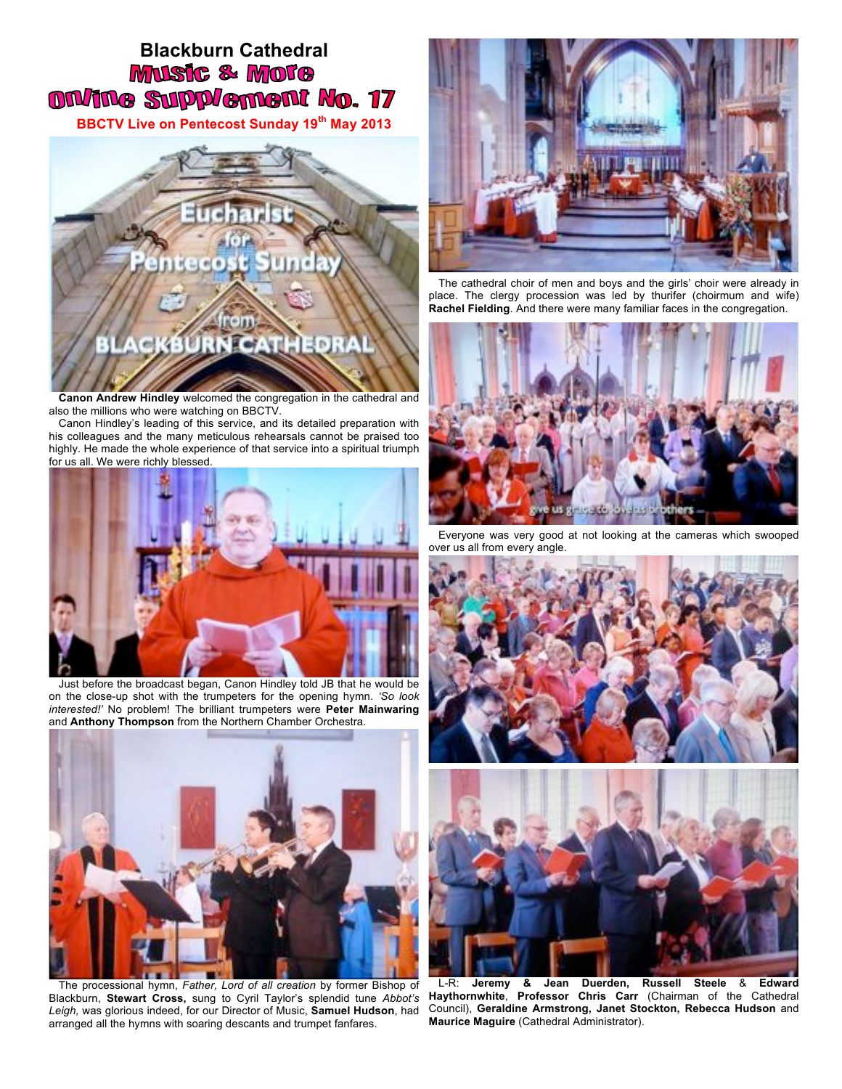## **Blackburn Cathedral**<br>**MUSIC & MOTO ON/ING SUPP/ement No. 17**

**BBCTV Live on Pentecost Sunday 19th May 2013**



**Canon Andrew Hindley** welcomed the congregation in the cathedral and also the millions who were watching on BBCTV.

Canon Hindley's leading of this service, and its detailed preparation with his colleagues and the many meticulous rehearsals cannot be praised too highly. He made the whole experience of that service into a spiritual triumph for us all. We were richly blessed.



Just before the broadcast began, Canon Hindley told JB that he would be on the close-up shot with the trumpeters for the opening hymn. *'So look interested!'* No problem! The brilliant trumpeters were **Peter Mainwaring** and **Anthony Thompson** from the Northern Chamber Orchestra.



The processional hymn, *Father, Lord of all creation* by former Bishop of Blackburn, **Stewart Cross,** sung to Cyril Taylor's splendid tune *Abbot's Leigh,* was glorious indeed, for our Director of Music, **Samuel Hudson**, had arranged all the hymns with soaring descants and trumpet fanfares.



The cathedral choir of men and boys and the girls' choir were already in place. The clergy procession was led by thurifer (choirmum and wife) **Rachel Fielding**. And there were many familiar faces in the congregation.



Everyone was very good at not looking at the cameras which swooped over us all from every angle.





L-R: **Jeremy & Jean Duerden, Russell Steele** & **Edward Haythornwhite**, **Professor Chris Carr** (Chairman of the Cathedral Council), **Geraldine Armstrong, Janet Stockton, Rebecca Hudson** and **Maurice Maguire** (Cathedral Administrator).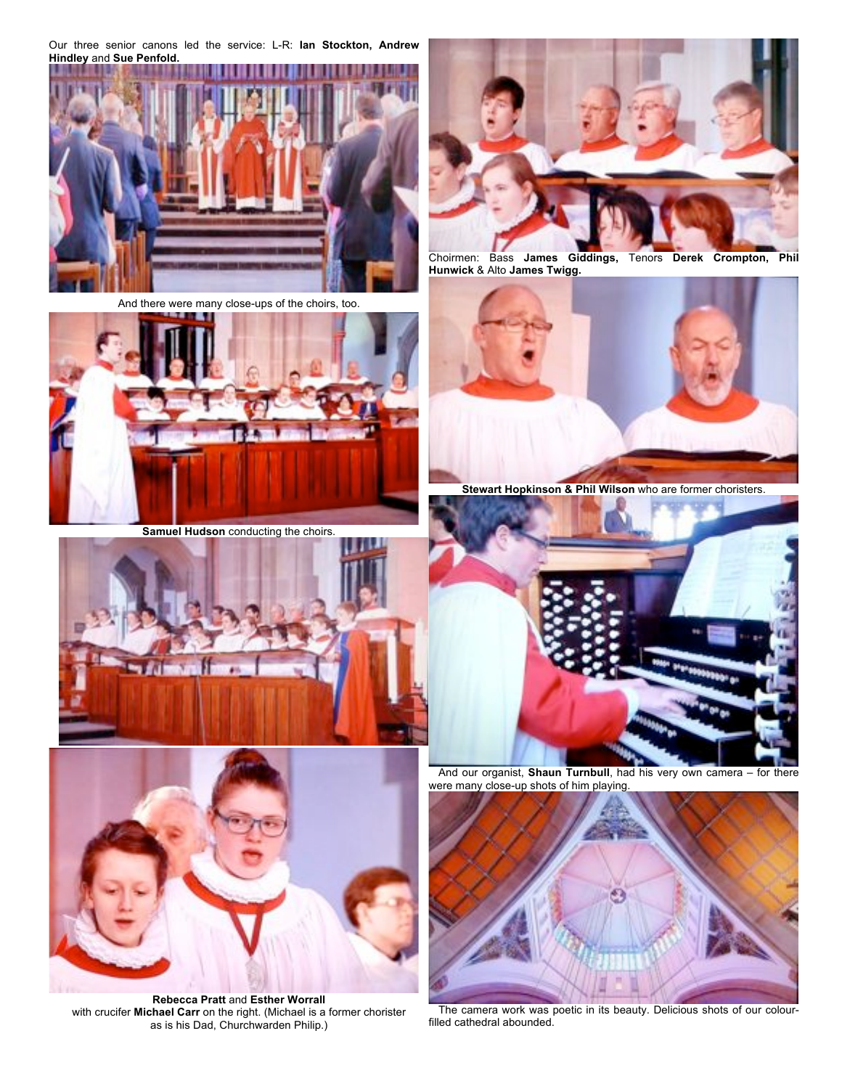Our three senior canons led the service: L-R: **Ian Stockton, Andrew Hindley** and **Sue Penfold.**



And there were many close-ups of the choirs, too.



**Samuel Hudson** conducting the choirs.





**Rebecca Pratt** and **Esther Worrall** with crucifer **Michael Carr** on the right. (Michael is a former chorister as is his Dad, Churchwarden Philip.)



Choirmen: Bass **James Giddings,** Tenors **Derek Crompton, Phil Hunwick** & Alto **James Twigg.**



**Stewart Hopkinson & Phil Wilson** who are former choristers.



And our organist, **Shaun Turnbull**, had his very own camera – for there were many close-up shots of him playing.



The camera work was poetic in its beauty. Delicious shots of our colourfilled cathedral abounded.